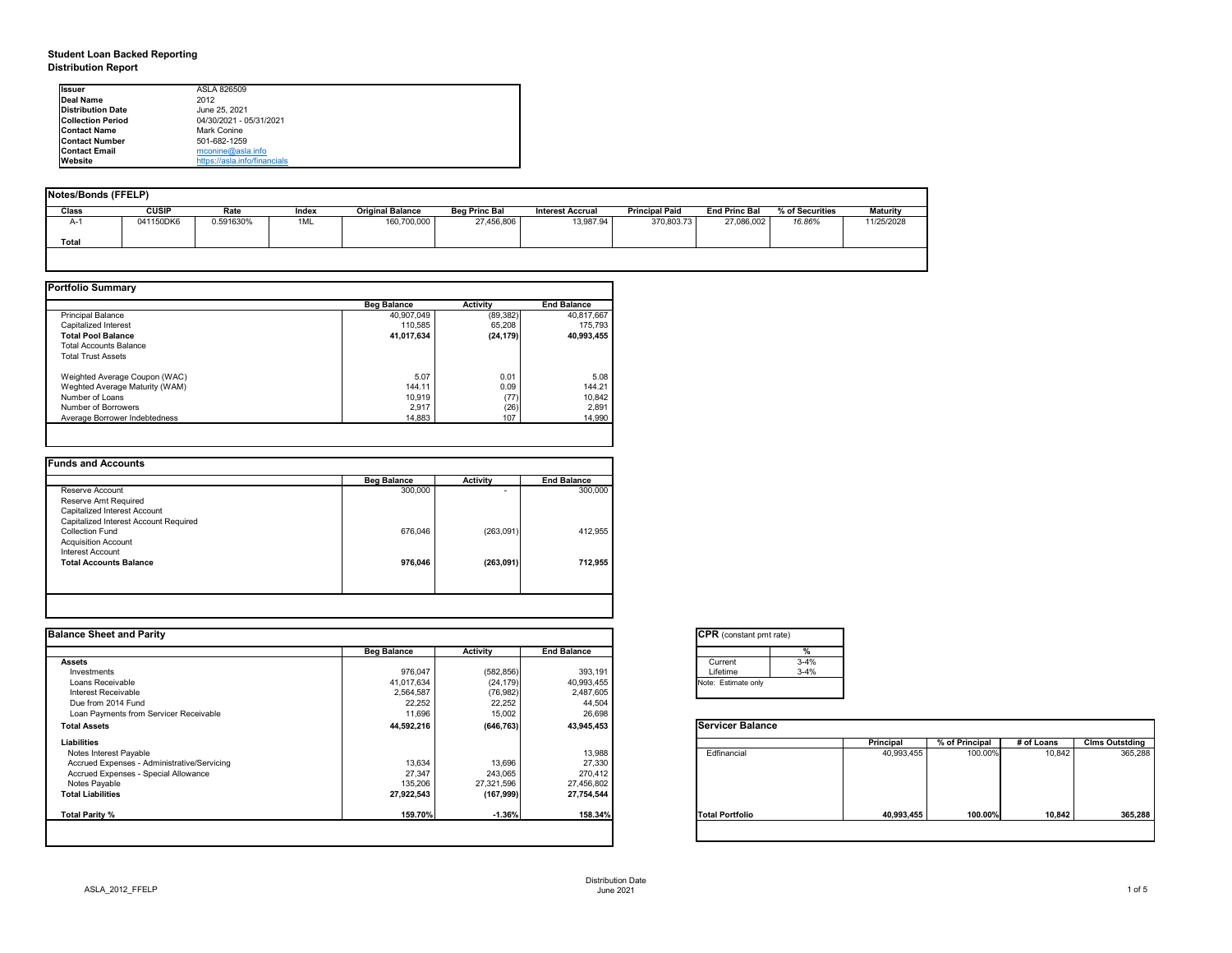## **Student Loan Backed Reporting Distribution Report**

| <b>Notes/Bonds (FFELP)</b> |              |           |       |                         |                      |                         |                       |                      |                 |                 |
|----------------------------|--------------|-----------|-------|-------------------------|----------------------|-------------------------|-----------------------|----------------------|-----------------|-----------------|
| <b>Class</b>               | <b>CUSIP</b> | Rate      | Index | <b>Original Balance</b> | <b>Beg Princ Bal</b> | <b>Interest Accrual</b> | <b>Principal Paid</b> | <b>End Princ Bal</b> | % of Securities | <b>Maturity</b> |
| A-1                        | 041150DK6    | 0.591630% | 1ML   | 160,700,000             | 27,456,806           | 13,987.94               | 370,803.73            | 27,086,002           | 16.86%          | 11/25/2028      |
| <b>Total</b>               |              |           |       |                         |                      |                         |                       |                      |                 |                 |
|                            |              |           |       |                         |                      |                         |                       |                      |                 |                 |

|                                | <b>Beg Balance</b> | <b>Activity</b> | <b>End Balance</b> |
|--------------------------------|--------------------|-----------------|--------------------|
| <b>Principal Balance</b>       | 40,907,049         | (89, 382)       | 40,817,667         |
| Capitalized Interest           | 110,585            | 65,208          | 175,793            |
| <b>Total Pool Balance</b>      | 41,017,634         | (24, 179)       | 40,993,455         |
| <b>Total Accounts Balance</b>  |                    |                 |                    |
| <b>Total Trust Assets</b>      |                    |                 |                    |
| Weighted Average Coupon (WAC)  | 5.07               | 0.01            | 5.08               |
| Weghted Average Maturity (WAM) | 144.11             | 0.09            | 144.21             |
| Number of Loans                | 10,919             | (77)            | 10,842             |
| Number of Borrowers            | 2,917              | (26)            | 2,891              |
| Average Borrower Indebtedness  | 14,883             | 107             | 14,990             |

| <b>Beg Balance</b> | <b>Activity</b>          | <b>End Balance</b> |
|--------------------|--------------------------|--------------------|
| 300,000            | $\overline{\phantom{0}}$ | 300,000            |
|                    |                          |                    |
|                    |                          |                    |
|                    |                          |                    |
| 676,046            | (263,091)                | 412,955            |
|                    |                          |                    |
|                    |                          |                    |
| 976,046            | (263, 091)               | 712,955            |
|                    |                          |                    |
|                    |                          |                    |

| <b>I</b> lssuer          | ASLA 826509                  |
|--------------------------|------------------------------|
| Deal Name                | 2012                         |
| <b>Distribution Date</b> | June 25, 2021                |
| <b>Collection Period</b> | 04/30/2021 - 05/31/2021      |
| <b>IContact Name</b>     | Mark Conine                  |
| <b>Contact Number</b>    | 501-682-1259                 |
| <b>Contact Email</b>     | $m$ conine@asla.info         |
| <b>Website</b>           | https://asla.info/financials |

|                    |                 |                    | <b>CPR</b> (constant pmt rate) |                  |                |            |                       |
|--------------------|-----------------|--------------------|--------------------------------|------------------|----------------|------------|-----------------------|
| <b>Beg Balance</b> | <b>Activity</b> | <b>End Balance</b> |                                |                  |                |            |                       |
|                    |                 |                    | $3 - 4%$<br>Current            |                  |                |            |                       |
| 976,047            | (582, 856)      | 393,191            | $3 - 4%$<br>Lifetime           |                  |                |            |                       |
| 41,017,634         | (24, 179)       | 40,993,455         | Note: Estimate only            |                  |                |            |                       |
| 2,564,587          | (76, 982)       | 2,487,605          |                                |                  |                |            |                       |
|                    |                 |                    |                                |                  |                |            |                       |
| 11,696             | 15,002          | 26,698             |                                |                  |                |            |                       |
| 44,592,216         | (646, 763)      | 43,945,453         | <b>Servicer Balance</b>        |                  |                |            |                       |
|                    |                 |                    |                                | <b>Principal</b> | % of Principal | # of Loans | <b>Clms Outstding</b> |
|                    |                 | 13,988             | Edfinancial                    | 40,993,455       | 100.00%        | 10,842     | 365,288               |
| 13,634             | 13,696          | 27,330             |                                |                  |                |            |                       |
| 27,347             | 243,065         | 270,412            |                                |                  |                |            |                       |
| 135,206            | 27,321,596      | 27,456,802         |                                |                  |                |            |                       |
| 27,922,543         | (167, 999)      | 27,754,544         |                                |                  |                |            |                       |
| 159.70%            | $-1.36%$        | 158.34%            | <b>Total Portfolio</b>         | 40,993,455       | 100.00%        |            | 365,288               |
|                    | 22,252          | 22,252             | 44,504                         |                  |                |            | 10,842                |

| tant pmt rate) |          |
|----------------|----------|
|                | %        |
|                | $3 - 4%$ |
|                | $3 - 4%$ |
| te only        |          |
|                |          |

|      | <b>Principal</b> | % of Principal | # of Loans | <b>Clms Outstding</b> |
|------|------------------|----------------|------------|-----------------------|
| al   | 40,993,455       | 100.00%        | 10,842     | 365,288               |
| oilc | 40,993,455       | 100.00%        | 10,842     | 365,288               |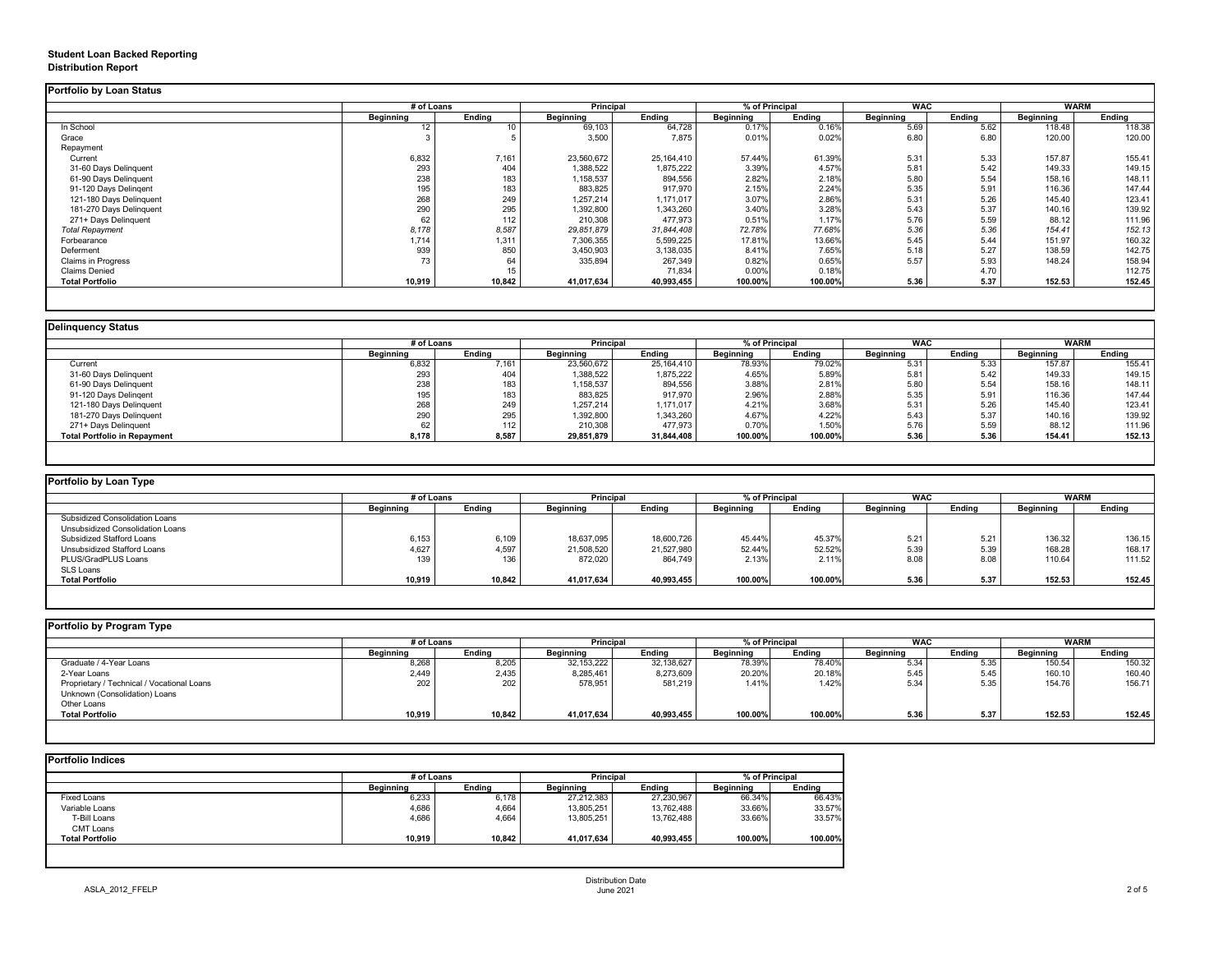## **Student Loan Backed Reporting Distribution Report**

### **Delinquency Status**

|                           | # of Loans       |               | <b>Principal</b> |               | % of Principal   |               | <b>WAC</b>       |               | <b>WARM</b>      |               |
|---------------------------|------------------|---------------|------------------|---------------|------------------|---------------|------------------|---------------|------------------|---------------|
|                           | <b>Beginning</b> | <b>Ending</b> | <b>Beginning</b> | <b>Ending</b> | <b>Beginning</b> | <b>Ending</b> | <b>Beginning</b> | <b>Ending</b> | <b>Beginning</b> | <b>Ending</b> |
| In School                 | 12               |               | 69,103           | 64,728        | 0.17%            | 0.16%         | 5.69             | 5.62          | 118.48           | 118.38        |
| Grace                     |                  |               | 3,500            | 7,875         | 0.01%            | 0.02%         | 6.80             | 6.80          | 120.00           | 120.00        |
| Repayment                 |                  |               |                  |               |                  |               |                  |               |                  |               |
| Current                   | 6,832            | 7,161         | 23,560,672       | 25,164,410    | 57.44%           | 61.39%        | 5.31             | 5.33          | 157.87           | 155.41        |
| 31-60 Days Delinquent     | 293              | 404           | 1,388,522        | 1,875,222     | 3.39%            | 4.57%         | 5.81             | 5.42          | 149.33           | 149.15        |
| 61-90 Days Delinquent     | 238              | 183           | 1,158,537        | 894,556       | 2.82%            | 2.18%         | 5.80             | 5.54          | 158.16           | 148.11        |
| 91-120 Days Delingent     | 195              | 183           | 883,825          | 917,970       | 2.15%            | 2.24%         | 5.35             | 5.91          | 116.36           | 147.44        |
| 121-180 Days Delinquent   | 268              | 249           | 1,257,214        | 1,171,017     | 3.07%            | 2.86%         | 5.31             | 5.26          | 145.40           | 123.41        |
| 181-270 Days Delinquent   | 290              | 295           | 1,392,800        | 1,343,260     | 3.40%            | 3.28%         | 5.43             | 5.37          | 140.16           | 139.92        |
| 271+ Days Delinquent      | 62               | 112           | 210,308          | 477,973       | 0.51%            | 1.17%         | 5.76             | 5.59          | 88.12            | 111.96        |
| <b>Total Repayment</b>    | 8,178            | 8,587         | 29,851,879       | 31,844,408    | 72.78%           | 77.68%        | 5.36             | 5.36          | 154.41           | 152.13        |
| Forbearance               | 1,714            | 1,311         | 7,306,355        | 5,599,225     | 17.81%           | 13.66%        | 5.45             | 5.44          | 151.97           | 160.32        |
| Deferment                 | 939              | 850           | 3,450,903        | 3,138,035     | 8.41%            | 7.65%         | 5.18             | 5.27          | 138.59           | 142.75        |
| <b>Claims in Progress</b> | 73               | 64            | 335,894          | 267,349       | 0.82%            | 0.65%         | 5.57             | 5.93          | 148.24           | 158.94        |
| <b>Claims Denied</b>      |                  | 15            |                  | 71,834        | 0.00%            | 0.18%         |                  | 4.70          |                  | 112.75        |
| <b>Total Portfolio</b>    | 10,919           | 10,842        | 41,017,634       | 40,993,455    | 100.00%          | 100.00%       | 5.36             | 5.37          | 152.53           | 152.45        |

|                                     | # of Loans       |               | <b>Principal</b> |               | % of Principal   |               | <b>WAC</b>       |               | <b>WARM</b>      |               |
|-------------------------------------|------------------|---------------|------------------|---------------|------------------|---------------|------------------|---------------|------------------|---------------|
|                                     | <b>Beginning</b> | <b>Ending</b> | <b>Beginning</b> | <b>Ending</b> | <b>Beginning</b> | <b>Ending</b> | <b>Beginning</b> | <b>Ending</b> | <b>Beginning</b> | <b>Ending</b> |
| Current                             | 6,832            | 7,161         | 23,560,672       | 25,164,410    | 78.93%           | 79.02%        | 5.31             | 5.33          | 157.87           | 155.41        |
| 31-60 Days Delinquent               | 293              | 404           | 1,388,522        | 1,875,222     | 4.65%            | 5.89%         | 5.81             | 5.42          | 149.33           | 149.15        |
| 61-90 Days Delinquent               | 238              | 183           | 1,158,537        | 894,556       | 3.88%            | 2.81%         | 5.80             | 5.54          | 158.16           | 148.11        |
| 91-120 Days Delingent               | 195              | 183           | 883,825          | 917,970       | 2.96%            | 2.88%         | 5.35             | 5.91          | 116.36           | 147.44        |
| 121-180 Days Delinquent             | 268              | 249           | 1,257,214        | 1,171,017     | 4.21%            | 3.68%         | 5.31             | 5.26          | 145.40           | 123.41        |
| 181-270 Days Delinquent             | 290              | 295           | 1,392,800        | 1,343,260     | 4.67%            | 4.22%         | 5.43             | 5.37          | 140.16           | 139.92        |
| 271+ Days Delinquent                | 62               | 112           | 210,308          | 477,973       | 0.70%            | 1.50%         | 5.76             | 5.59          | 88.12            | 111.96        |
| <b>Total Portfolio in Repayment</b> | 8,178            | 8,587         | 29,851,879       | 31,844,408    | 100.00%          | 100.00%       | 5.36             | 5.36          | 154.41           | 152.13        |

| Portfolio by Loan Type                |                  |               |                  |                                    |                  |               |                  |               |                  |               |
|---------------------------------------|------------------|---------------|------------------|------------------------------------|------------------|---------------|------------------|---------------|------------------|---------------|
|                                       | # of Loans       |               |                  | <b>Principal</b><br>% of Principal |                  |               | <b>WAC</b>       |               | <b>WARM</b>      |               |
|                                       | <b>Beginning</b> | <b>Ending</b> | <b>Beginning</b> | <b>Ending</b>                      | <b>Beginning</b> | <b>Ending</b> | <b>Beginning</b> | <b>Ending</b> | <b>Beginning</b> | <b>Ending</b> |
| <b>Subsidized Consolidation Loans</b> |                  |               |                  |                                    |                  |               |                  |               |                  |               |
| Unsubsidized Consolidation Loans      |                  |               |                  |                                    |                  |               |                  |               |                  |               |
| <b>Subsidized Stafford Loans</b>      | 6,153            | 6,109         | 18,637,095       | 18,600,726                         | 45.44%           | 45.37%        | 5.21             | 5.21          | 136.32           | 136.15        |
| <b>Unsubsidized Stafford Loans</b>    | 4,627            | 4,597         | 21,508,520       | 21,527,980                         | 52.44%           | 52.52%        | 5.39             | 5.39          | 168.28           | 168.17        |
| PLUS/GradPLUS Loans                   | 139              | 136           | 872,020          | 864,749                            | 2.13%            | 2.11%         | 8.08             | 8.08          | 110.64           | 111.52        |
| SLS Loans                             |                  |               |                  |                                    |                  |               |                  |               |                  |               |
| <b>Total Portfolio</b>                | 10,919           | 10,842        | 41,017,634       | 40,993,455                         | 100.00%          | 100.00%       | 5.36             | 5.37          | 152.53           | 152.45        |

|  |  | Portfolio by Program Type |  |
|--|--|---------------------------|--|
|--|--|---------------------------|--|

| <b>Portfolio by Program Type</b>           |                  |               |                  |                  |                  |                |                  |               |                  |               |
|--------------------------------------------|------------------|---------------|------------------|------------------|------------------|----------------|------------------|---------------|------------------|---------------|
|                                            |                  | # of Loans    |                  | <b>Principal</b> |                  | % of Principal |                  | <b>WAC</b>    |                  | <b>WARM</b>   |
|                                            | <b>Beginning</b> | <b>Ending</b> | <b>Beginning</b> | Ending           | <b>Beginning</b> | <b>Ending</b>  | <b>Beginning</b> | <b>Ending</b> | <b>Beginning</b> | <b>Ending</b> |
| Graduate / 4-Year Loans                    | 8,268            | 8,205         | 32,153,222       | 32,138,627       | 78.39%           | 78.40%         | 5.34             | 5.35          | 150.54           | 150.32        |
| 2-Year Loans                               | 2,449            | 2,435         | 8,285,461        | 8,273,609        | 20.20%           | 20.18%         | 5.45             | 5.45          | 160.10           | 160.40        |
| Proprietary / Technical / Vocational Loans | 202              | 202           | 578,951          | 581,219          | 1.41%            | 1.42%          | 5.34             | 5.35          | 154.76           | 156.71        |
| Unknown (Consolidation) Loans              |                  |               |                  |                  |                  |                |                  |               |                  |               |
| Other Loans                                |                  |               |                  |                  |                  |                |                  |               |                  |               |
| <b>Total Portfolio</b>                     | 10,919           | 10,842        | 41,017,634       | 40,993,455       | 100.00%          | 100.00%        | 5.36             | 5.37          | 152.53           | 152.45        |
|                                            |                  |               |                  |                  |                  |                |                  |               |                  |               |

|                        |                  | # of Loans    |                  | <b>Principal</b> |                  | % of Principal |  |
|------------------------|------------------|---------------|------------------|------------------|------------------|----------------|--|
|                        | <b>Beginning</b> | <b>Ending</b> | <b>Beginning</b> | <b>Ending</b>    | <b>Beginning</b> | <b>Ending</b>  |  |
| <b>Fixed Loans</b>     | 6,233            | 6,178         | 27,212,383       | 27,230,967       | 66.34%           | 66.43%         |  |
| Variable Loans         | 4,686            | 4,664         | 13,805,251       | 13,762,488       | 33.66%           | 33.57%         |  |
| T-Bill Loans           | 4,686            | 4,664         | 13,805,251       | 13,762,488       | 33.66%           | 33.57%         |  |
| <b>CMT Loans</b>       |                  |               |                  |                  |                  |                |  |
| <b>Total Portfolio</b> | 10,919           | 10,842        | 41,017,634       | 40,993,455       | 100.00%          | 100.00%        |  |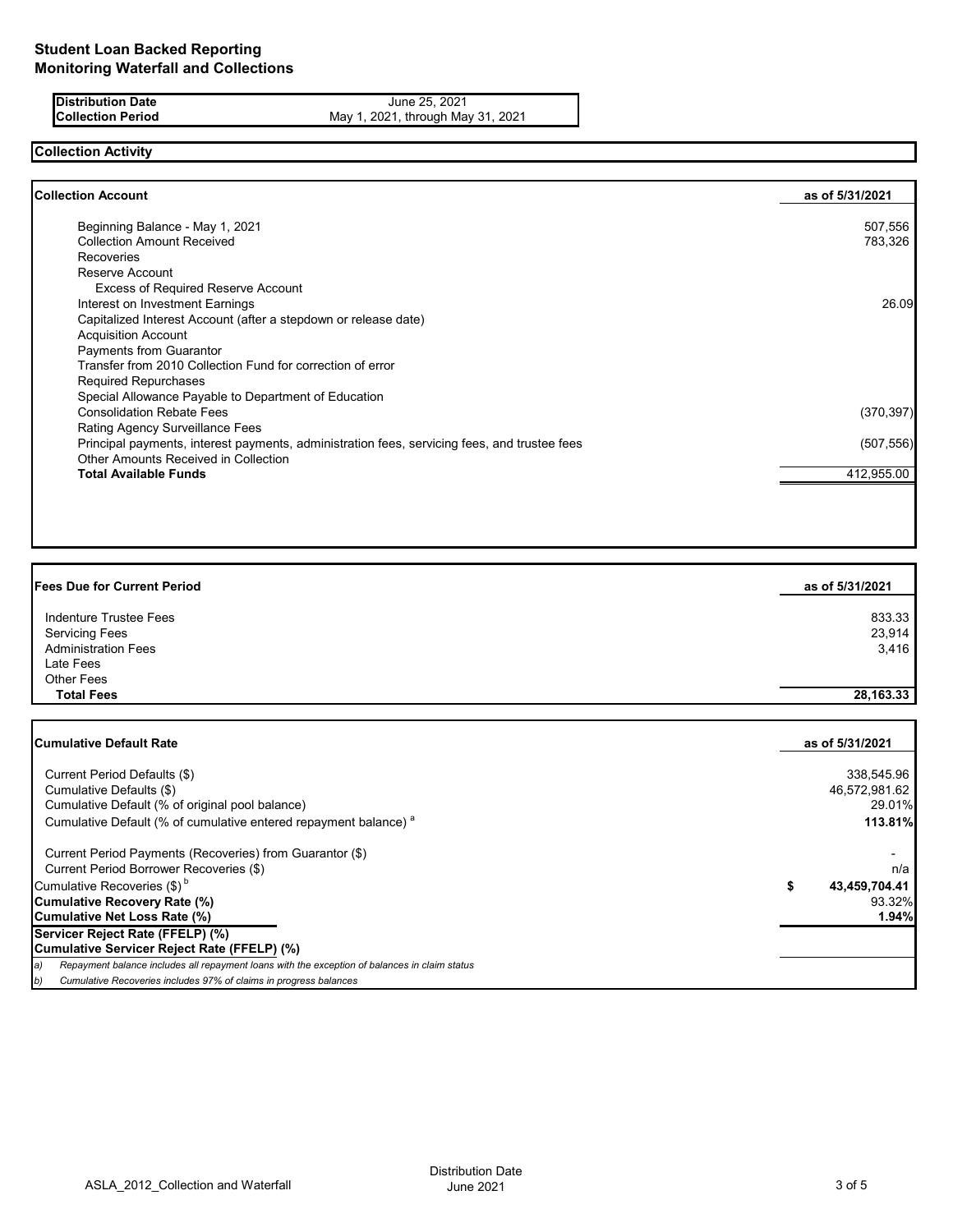**Distribution Date** June 25, 2021<br>**Collection Period** May 1, 2021, through May 1, 2021, through May May 1, 2021, through May 31, 2021

# **Collection Activity**

| Beginning Balance - May 1, 2021<br><b>Collection Amount Received</b><br>Recoveries<br>Reserve Account<br><b>Excess of Required Reserve Account</b><br>Interest on Investment Earnings<br>Capitalized Interest Account (after a stepdown or release date) | 507,556<br>783,326 |
|----------------------------------------------------------------------------------------------------------------------------------------------------------------------------------------------------------------------------------------------------------|--------------------|
|                                                                                                                                                                                                                                                          | 26.09              |
|                                                                                                                                                                                                                                                          |                    |
|                                                                                                                                                                                                                                                          |                    |
|                                                                                                                                                                                                                                                          |                    |
|                                                                                                                                                                                                                                                          |                    |
|                                                                                                                                                                                                                                                          |                    |
|                                                                                                                                                                                                                                                          |                    |
| <b>Acquisition Account</b>                                                                                                                                                                                                                               |                    |
| <b>Payments from Guarantor</b>                                                                                                                                                                                                                           |                    |
| Transfer from 2010 Collection Fund for correction of error                                                                                                                                                                                               |                    |
| <b>Required Repurchases</b>                                                                                                                                                                                                                              |                    |
| Special Allowance Payable to Department of Education                                                                                                                                                                                                     |                    |
| <b>Consolidation Rebate Fees</b>                                                                                                                                                                                                                         | (370, 397)         |
| <b>Rating Agency Surveillance Fees</b>                                                                                                                                                                                                                   |                    |
| Principal payments, interest payments, administration fees, servicing fees, and trustee fees                                                                                                                                                             | (507, 556)         |
| <b>Other Amounts Received in Collection</b>                                                                                                                                                                                                              |                    |
| <b>Total Available Funds</b>                                                                                                                                                                                                                             | 412,955.00         |

| <b>Fees Due for Current Period</b> | as of 5/31/2021 |
|------------------------------------|-----------------|
| Indenture Trustee Fees             | 833.33          |
| <b>Servicing Fees</b>              | 23,914          |
| <b>Administration Fees</b>         | 3,416           |
| Late Fees                          |                 |
| <b>Other Fees</b>                  |                 |
| <b>Total Fees</b>                  | 28, 163. 33     |

| <b>Cumulative Default Rate</b>                                                                      | as of 5/31/2021 |
|-----------------------------------------------------------------------------------------------------|-----------------|
| Current Period Defaults (\$)                                                                        | 338,545.96      |
| Cumulative Defaults (\$)                                                                            | 46,572,981.62   |
| Cumulative Default (% of original pool balance)                                                     | 29.01%          |
| Cumulative Default (% of cumulative entered repayment balance) <sup>a</sup>                         | 113.81%         |
| Current Period Payments (Recoveries) from Guarantor (\$)                                            |                 |
| Current Period Borrower Recoveries (\$)                                                             | n/a             |
| Cumulative Recoveries (\$) <sup>b</sup>                                                             | 43,459,704.41   |
| <b>Cumulative Recovery Rate (%)</b>                                                                 | 93.32%          |
| Cumulative Net Loss Rate (%)                                                                        | 1.94%           |
| Servicer Reject Rate (FFELP) (%)                                                                    |                 |
| Cumulative Servicer Reject Rate (FFELP) (%)                                                         |                 |
| Repayment balance includes all repayment loans with the exception of balances in claim status<br>a) |                 |
| Cumulative Recoveries includes 97% of claims in progress balances<br>b)                             |                 |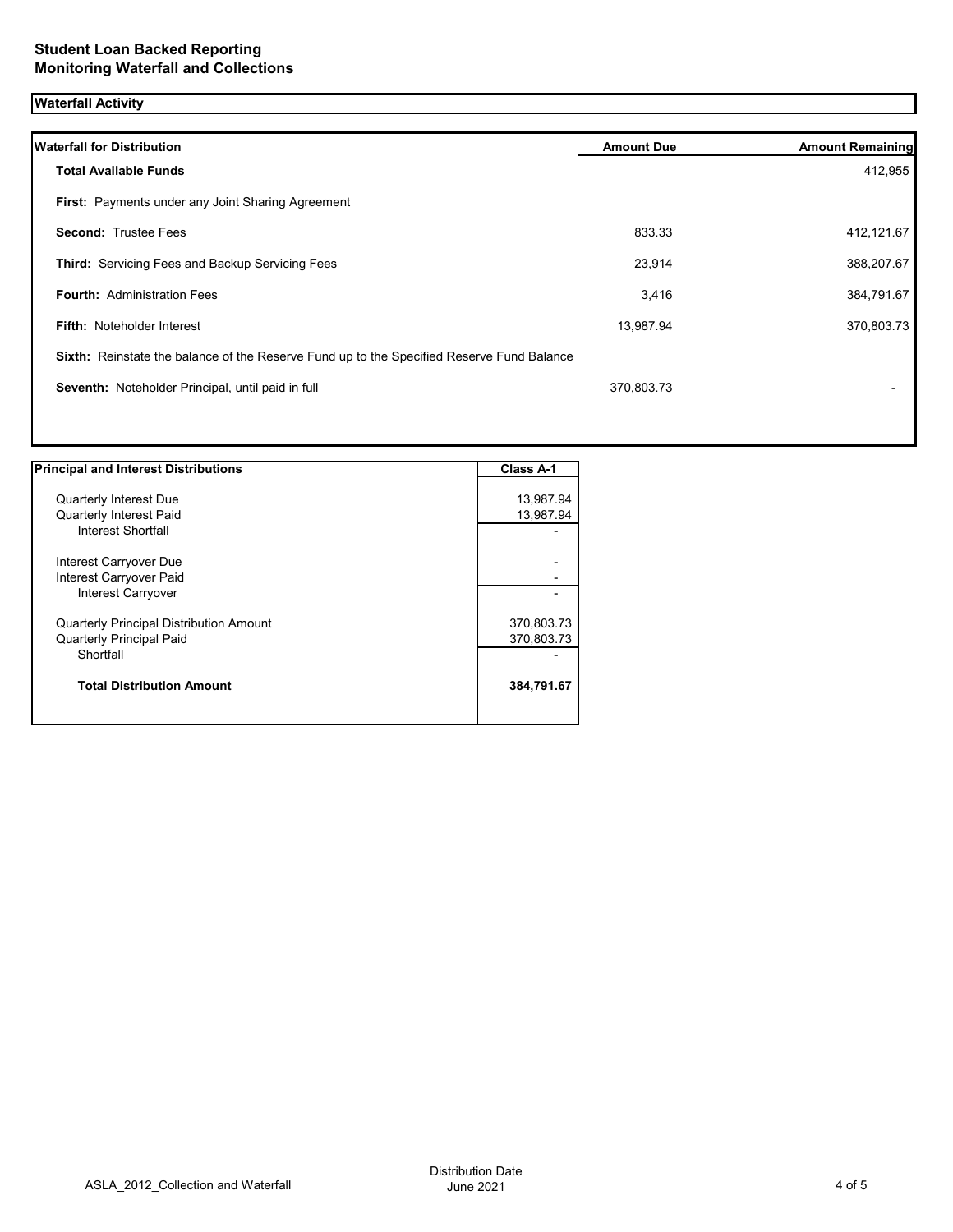## **Waterfall Activity**

| <b>Waterfall for Distribution</b>                                                         | <b>Amount Due</b> | <b>Amount Remaining</b> |
|-------------------------------------------------------------------------------------------|-------------------|-------------------------|
| <b>Total Available Funds</b>                                                              |                   | 412,955                 |
| First: Payments under any Joint Sharing Agreement                                         |                   |                         |
| <b>Second: Trustee Fees</b>                                                               | 833.33            | 412,121.67              |
| <b>Third: Servicing Fees and Backup Servicing Fees</b>                                    | 23,914            | 388,207.67              |
| <b>Fourth: Administration Fees</b>                                                        | 3,416             | 384,791.67              |
| <b>Fifth: Noteholder Interest</b>                                                         | 13,987.94         | 370,803.73              |
| Sixth: Reinstate the balance of the Reserve Fund up to the Specified Reserve Fund Balance |                   |                         |
| Seventh: Noteholder Principal, until paid in full                                         | 370,803.73        |                         |
|                                                                                           |                   |                         |

| <b>Principal and Interest Distributions</b>    | <b>Class A-1</b> |
|------------------------------------------------|------------------|
|                                                |                  |
| <b>Quarterly Interest Due</b>                  | 13,987.94        |
| <b>Quarterly Interest Paid</b>                 | 13,987.94        |
| Interest Shortfall                             |                  |
| Interest Carryover Due                         |                  |
| Interest Carryover Paid                        |                  |
| Interest Carryover                             |                  |
| <b>Quarterly Principal Distribution Amount</b> | 370,803.73       |
| <b>Quarterly Principal Paid</b>                | 370,803.73       |
| Shortfall                                      |                  |
| <b>Total Distribution Amount</b>               | 384,791.67       |